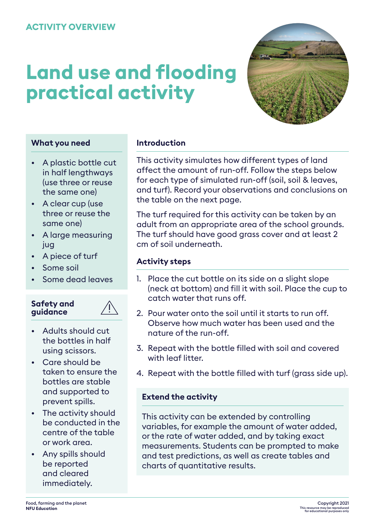# **Land use and flooding practical activity**



### **What you need**

- A plastic bottle cut in half lengthways (use three or reuse the same one)
- A clear cup (use three or reuse the same one)
- A large measuring jug
- A piece of turf
- Some soil
- Some dead leaves

#### **Safety and guidance**



- Adults should cut the bottles in half using scissors.
- Care should be taken to ensure the bottles are stable and supported to prevent spills.
- The activity should be conducted in the centre of the table or work area.
- Any spills should be reported and cleared immediately.

#### **Introduction**

This activity simulates how different types of land affect the amount of run-off. Follow the steps below for each type of simulated run-off (soil, soil & leaves, and turf). Record your observations and conclusions on the table on the next page.

The turf required for this activity can be taken by an adult from an appropriate area of the school grounds. The turf should have good grass cover and at least 2 cm of soil underneath.

#### **Activity steps**

- 1. Place the cut bottle on its side on a slight slope (neck at bottom) and fill it with soil. Place the cup to catch water that runs off.
- 2. Pour water onto the soil until it starts to run off. Observe how much water has been used and the nature of the run-off.
- 3. Repeat with the bottle filled with soil and covered with leaf litter.
- 4. Repeat with the bottle filled with turf (grass side up).

#### **Extend the activity**

This activity can be extended by controlling variables, for example the amount of water added, or the rate of water added, and by taking exact measurements. Students can be prompted to make and test predictions, as well as create tables and charts of quantitative results.